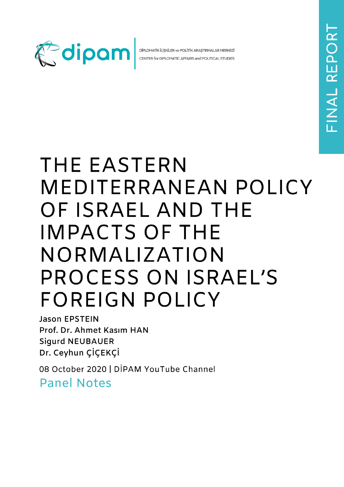

DİPLOMATİK İLİŞKİLER ve POLİTİK ARAŞTIRMALAR MERKEZİ CENTER for DIPLOMATIC AFFAIRS and POLITICAL STUDIES

## THE EASTERN MEDITERRANEAN POLICY OF ISRAEL AND THE **IMPACTS OF THE** NORMALIZATION PROCESS ON ISRAEL'S **FOREIGN POLICY**

**Jason EPSTEIN** Prof. Dr. Ahmet Kasım HAN **Sigurd NEUBAUER** Dr. Ceyhun ÇİÇEKÇİ

08 October 2020 | DİPAM YouTube Channel **Panel Notes**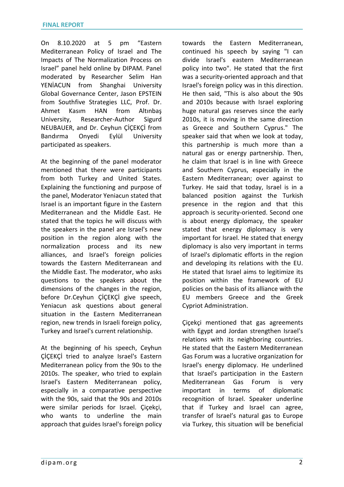On 8.10.2020 at 5 pm "Eastern Mediterranean Policy of Israel and The Impacts of The Normalization Process on Israel" panel held online by DIPAM. Panel moderated by Researcher Selim Han YENİACUN from Shanghai University Global Governance Center, Jason EPSTEIN from Southfive Strategies LLC, Prof. Dr. Ahmet Kasım HAN from Altınbaş University, Researcher-Author Sigurd NEUBAUER, and Dr. Ceyhun ÇİÇEKÇİ from Bandırma Onyedi Eylül University participated as speakers.

At the beginning of the panel moderator mentioned that there were participants from both Turkey and United States. Explaining the functioning and purpose of the panel, Moderator Yeniacun stated that Israel is an important figure in the Eastern Mediterranean and the Middle East. He stated that the topics he will discuss with the speakers in the panel are Israel's new position in the region along with the normalization process and its new alliances, and Israel's foreign policies towards the Eastern Mediterranean and the Middle East. The moderator, who asks questions to the speakers about the dimensions of the changes in the region, before Dr.Ceyhun ÇİÇEKÇİ give speech, Yeniacun ask questions about general situation in the Eastern Mediterranean region, new trends in Israeli foreign policy, Turkey and Israel's current relationship.

At the beginning of his speech, Ceyhun ÇİÇEKÇİ tried to analyze Israel's Eastern Mediterranean policy from the 90s to the 2010s. The speaker, who tried to explain Israel's Eastern Mediterranean policy, especially in a comparative perspective with the 90s, said that the 90s and 2010s were similar periods for Israel. Çiçekçi, who wants to underline the main approach that guides Israel's foreign policy towards the Eastern Mediterranean, continued his speech by saying "I can divide Israel's eastern Mediterranean policy into two". He stated that the first was a security-oriented approach and that Israel's foreign policy was in this direction. He then said, "This is also about the 90s and 2010s because with Israel exploring huge natural gas reserves since the early 2010s, it is moving in the same direction as Greece and Southern Cyprus." The speaker said that when we look at today, this partnership is much more than a natural gas or energy partnership. Then, he claim that Israel is in line with Greece and Southern Cyprus, especially in the Eastern Mediterranean; over against to Turkey. He said that today, Israel is in a balanced position against the Turkish presence in the region and that this approach is security-oriented. Second one is about energy diplomacy, the speaker stated that energy diplomacy is very important for Israel. He stated that energy diplomacy is also very important in terms of Israel's diplomatic efforts in the region and developing its relations with the EU. He stated that Israel aims to legitimize its position within the framework of EU policies on the basis of its alliance with the EU members Greece and the Greek Cypriot Administration.

Çiçekçi mentioned that gas agreements with Egypt and Jordan strengthen Israel's relations with its neighboring countries. He stated that the Eastern Mediterranean Gas Forum was a lucrative organization for Israel's energy diplomacy. He underlined that Israel's participation in the Eastern Mediterranean Gas Forum is very important in terms of diplomatic recognition of Israel. Speaker underline that if Turkey and Israel can agree, transfer of Israel's natural gas to Europe via Turkey, this situation will be beneficial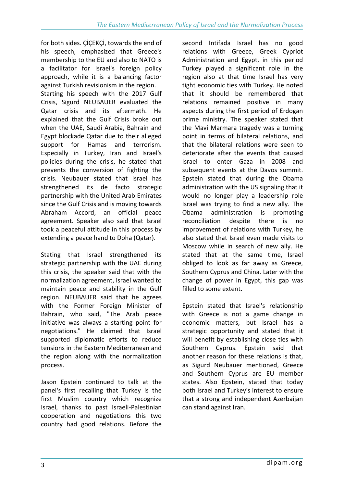for both sides. ÇİÇEKÇİ, towards the end of his speech, emphasized that Greece's membership to the EU and also to NATO is a facilitator for Israel's foreign policy approach, while it is a balancing factor against Turkish revisionism in the region. Starting his speech with the 2017 Gulf Crisis, Sigurd NEUBAUER evaluated the Qatar crisis and its aftermath. He explained that the Gulf Crisis broke out when the UAE, Saudi Arabia, Bahrain and Egypt blockade Qatar due to their alleged support for Hamas and terrorism. Especially in Turkey, Iran and Israel's policies during the crisis, he stated that prevents the conversion of fighting the crisis. Neubauer stated that Israel has strengthened its de facto strategic partnership with the United Arab Emirates since the Gulf Crisis and is moving towards Abraham Accord, an official peace agreement. Speaker also said that Israel took a peaceful attitude in this process by extending a peace hand to Doha (Qatar).

Stating that Israel strengthened its strategic partnership with the UAE during this crisis, the speaker said that with the normalization agreement, Israel wanted to maintain peace and stability in the Gulf region. NEUBAUER said that he agrees with the Former Foreign Minister of Bahrain, who said, "The Arab peace initiative was always a starting point for negotiations." He claimed that Israel supported diplomatic efforts to reduce tensions in the Eastern Mediterranean and the region along with the normalization process.

Jason Epstein continued to talk at the panel's first recalling that Turkey is the first Muslim country which recognize Israel, thanks to past Israeli-Palestinian cooperation and negotiations this two country had good relations. Before the

second Intifada Israel has no good relations with Greece, Greek Cypriot Administration and Egypt, in this period Turkey played a significant role in the region also at that time Israel has very tight economic ties with Turkey. He noted that it should be remembered that relations remained positive in many aspects during the first period of Erdogan prime ministry. The speaker stated that the Mavi Marmara tragedy was a turning point in terms of bilateral relations, and that the bilateral relations were seen to deteriorate after the events that caused Israel to enter Gaza in 2008 and subsequent events at the Davos summit. Epstein stated that during the Obama administration with the US signaling that it would no longer play a leadership role Israel was trying to find a new ally. The Obama administration is promoting reconciliation despite there is no improvement of relations with Turkey, he also stated that Israel even made visits to Moscow while in search of new ally. He stated that at the same time, Israel obliged to look as far away as Greece, Southern Cyprus and China. Later with the change of power in Egypt, this gap was filled to some extent.

Epstein stated that Israel's relationship with Greece is not a game change in economic matters, but Israel has a strategic opportunity and stated that it will benefit by establishing close ties with Southern Cyprus. Epstein said that another reason for these relations is that, as Sigurd Neubauer mentioned, Greece and Southern Cyprus are EU member states. Also Epstein, stated that today both Israel and Turkey's interest to ensure that a strong and independent Azerbaijan can stand against Iran.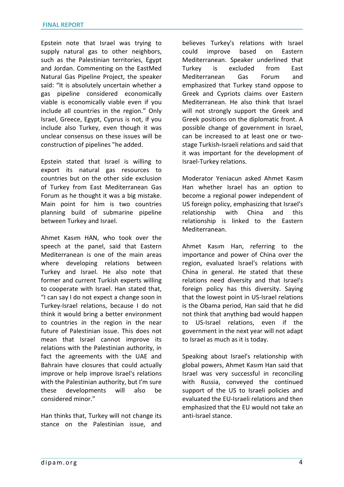Epstein note that Israel was trying to supply natural gas to other neighbors, such as the Palestinian territories, Egypt and Jordan. Commenting on the EastMed Natural Gas Pipeline Project, the speaker said: "It is absolutely uncertain whether a gas pipeline considered economically viable is economically viable even if you include all countries in the region." Only Israel, Greece, Egypt, Cyprus is not, if you include also Turkey, even though it was unclear consensus on these issues will be construction of pipelines "he added.

Epstein stated that Israel is willing to export its natural gas resources to countries but on the other side exclusion of Turkey from East Mediterranean Gas Forum as he thought it was a big mistake. Main point for him is two countries planning build of submarine pipeline between Turkey and Israel.

Ahmet Kasım HAN, who took over the speech at the panel, said that Eastern Mediterranean is one of the main areas where developing relations between Turkey and Israel. He also note that former and current Turkish experts willing to cooperate with Israel. Han stated that, "I can say I do not expect a change soon in Turkey-Israel relations, because I do not think it would bring a better environment to countries in the region in the near future of Palestinian issue. This does not mean that Israel cannot improve its relations with the Palestinian authority, in fact the agreements with the UAE and Bahrain have closures that could actually improve or help improve Israel's relations with the Palestinian authority, but I'm sure these developments will also be considered minor."

Han thinks that, Turkey will not change its stance on the Palestinian issue, and believes Turkey's relations with Israel could improve based on Eastern Mediterranean. Speaker underlined that Turkey is excluded from East Mediterranean Gas Forum and emphasized that Turkey stand oppose to Greek and Cypriots claims over Eastern Mediterranean. He also think that Israel will not strongly support the Greek and Greek positions on the diplomatic front. A possible change of government in Israel, can be increased to at least one or twostage Turkish-Israeli relations and said that it was important for the development of Israel-Turkey relations.

Moderator Yeniacun asked Ahmet Kasım Han whether Israel has an option to become a regional power independent of US foreign policy, emphasizing that Israel's relationship with China and this relationship is linked to the Eastern Mediterranean.

Ahmet Kasım Han, referring to the importance and power of China over the region, evaluated Israel's relations with China in general. He stated that these relations need diversity and that Israel's foreign policy has this diversity. Saying that the lowest point in US-Israel relations is the Obama period, Han said that he did not think that anything bad would happen to US-Israel relations, even if the government in the next year will not adapt to Israel as much as it is today.

Speaking about Israel's relationship with global powers, Ahmet Kasım Han said that Israel was very successful in reconciling with Russia, conveyed the continued support of the US to Israeli policies and evaluated the EU-Israeli relations and then emphasized that the EU would not take an anti-Israel stance.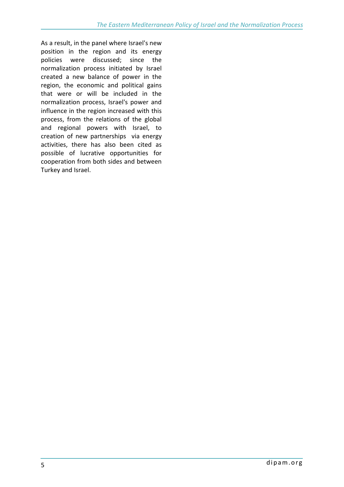As a result, in the panel where Israel's new position in the region and its energy policies were discussed; since the normalization process initiated by Israel created a new balance of power in the region, the economic and political gains that were or will be included in the normalization process, Israel's power and influence in the region increased with this process, from the relations of the global and regional powers with Israel, to creation of new partnerships via energy activities, there has also been cited as possible of lucrative opportunities for cooperation from both sides and between Turkey and Israel.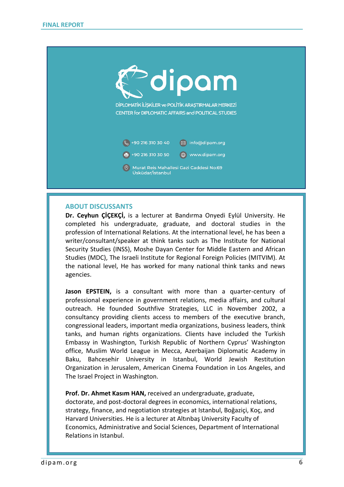

## **ABOUT DISCUSSANTS**

**Dr. Ceyhun ÇİÇEKÇİ,** is a lecturer at Bandırma Onyedi Eylül University. He completed his undergraduate, graduate, and doctoral studies in the profession of International Relations. At the international level, he has been a writer/consultant/speaker at think tanks such as The Institute for National Security Studies (INSS), Moshe Dayan Center for Middle Eastern and African Studies (MDC), The Israeli Institute for Regional Foreign Policies (MITVIM). At the national level, He has worked for many national think tanks and news agencies.

**Jason EPSTEIN,** is a consultant with more than a quarter-century of professional experience in government relations, media affairs, and cultural outreach. He founded Southfive Strategies, LLC in November 2002, a consultancy providing clients access to members of the executive branch, congressional leaders, important media organizations, business leaders, think tanks, and human rights organizations. Clients have included the Turkish Embassy in Washington, Turkish Republic of Northern Cyprus' Washington office, Muslim World League in Mecca, Azerbaijan Diplomatic Academy in Baku, Bahcesehir University in Istanbul, World Jewish Restitution Organization in Jerusalem, American Cinema Foundation in Los Angeles, and The Israel Project in Washington.

**Prof. Dr. Ahmet Kasım HAN,** received an undergraduate, graduate,

doctorate, and post-doctoral degrees in economics, international relations, strategy, finance, and negotiation strategies at Istanbul, Boğaziçi, Koç, and Harvard Universities. He is a lecturer at Altınbaş University Faculty of Economics, Administrative and Social Sciences, Department of International Relations in Istanbul.